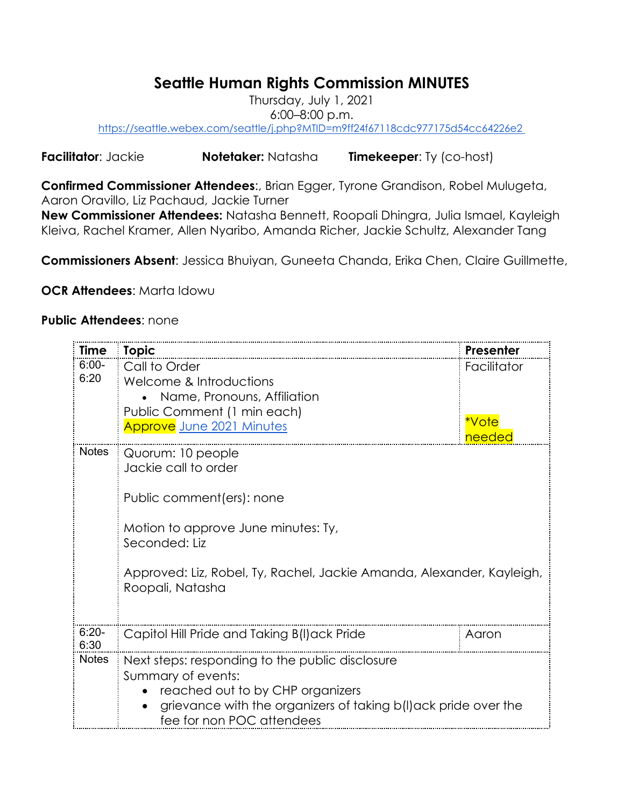## **Seattle Human Rights Commission MINUTES**

Thursday, July 1, 2021 6:00–8:00 p.m. https://seattle.webex.com/seattle/j.php?MTID=m9ff24f67118cdc977175d54cc64226e2

**Facilitator**: Jackie **Notetaker:** Natasha **Timekeeper**: Ty (co-host)

**Confirmed Commissioner Attendees**:, Brian Egger, Tyrone Grandison, Robel Mulugeta, Aaron Oravillo, Liz Pachaud, Jackie Turner

**New Commissioner Attendees:** Natasha Bennett, Roopali Dhingra, Julia Ismael, Kayleigh Kleiva, Rachel Kramer, Allen Nyaribo, Amanda Richer, Jackie Schultz, Alexander Tang

**Commissioners Absent**: Jessica Bhuiyan, Guneeta Chanda, Erika Chen, Claire Guillmette,

**OCR Attendees**: Marta Idowu

## **Public Attendees**: none

| <b>Time</b>     | <b>Topic</b>                                                                                                                                                                                                                 | Presenter                      |
|-----------------|------------------------------------------------------------------------------------------------------------------------------------------------------------------------------------------------------------------------------|--------------------------------|
| $6:00-$<br>6:20 | Call to Order<br>Welcome & Introductions<br>Name, Pronouns, Affiliation<br>Public Comment (1 min each)<br><b>Approve</b> June 2021 Minutes                                                                                   | Facilitator<br>*Vote<br>needec |
| <b>Notes</b>    | Quorum: 10 people<br>Jackie call to order<br>Public comment (ers): none<br>Motion to approve June minutes: Ty,<br>Seconded: Liz<br>Approved: Liz, Robel, Ty, Rachel, Jackie Amanda, Alexander, Kayleigh,<br>Roopali, Natasha |                                |
| $6:20-$<br>6:30 | Capitol Hill Pride and Taking B(I) ack Pride                                                                                                                                                                                 | Aaron                          |
| <b>Notes</b>    | Next steps: responding to the public disclosure<br>Summary of events:<br>reached out to by CHP organizers<br>grievance with the organizers of taking b(I) ack pride over the<br>fee for non POC attendees                    |                                |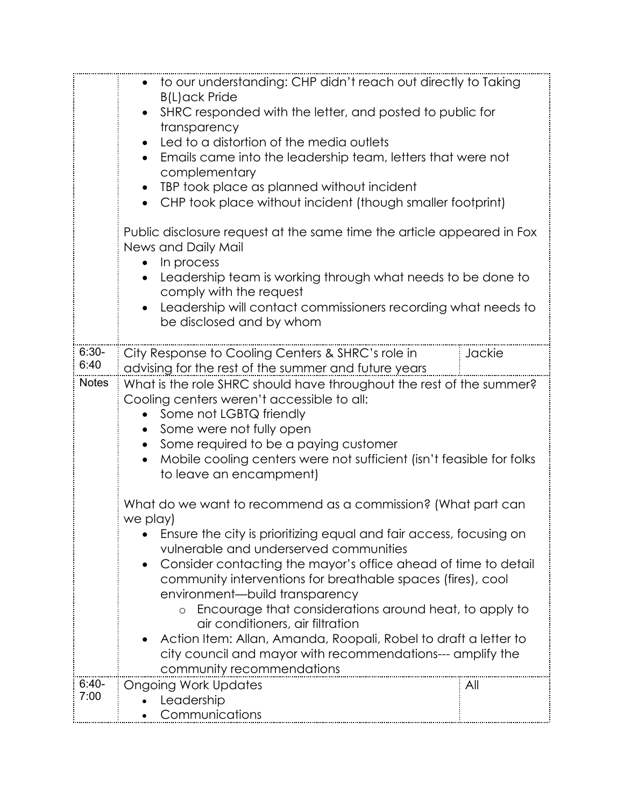|                 | to our understanding: CHP didn't reach out directly to Taking<br>$\bullet$<br><b>B(L)ack Pride</b><br>SHRC responded with the letter, and posted to public for<br>transparency<br>Led to a distortion of the media outlets<br>$\bullet$<br>Emails came into the leadership team, letters that were not<br>complementary<br>TBP took place as planned without incident<br>$\bullet$<br>CHP took place without incident (though smaller footprint)                                                                                                         |        |  |  |
|-----------------|----------------------------------------------------------------------------------------------------------------------------------------------------------------------------------------------------------------------------------------------------------------------------------------------------------------------------------------------------------------------------------------------------------------------------------------------------------------------------------------------------------------------------------------------------------|--------|--|--|
|                 | Public disclosure request at the same time the article appeared in Fox<br>News and Daily Mail<br>In process<br>Leadership team is working through what needs to be done to<br>$\bullet$<br>comply with the request<br>Leadership will contact commissioners recording what needs to<br>be disclosed and by whom                                                                                                                                                                                                                                          |        |  |  |
| $6:30-$<br>6:40 | City Response to Cooling Centers & SHRC's role in                                                                                                                                                                                                                                                                                                                                                                                                                                                                                                        | Jackie |  |  |
| <b>Notes</b>    | advising for the rest of the summer and future years<br>What is the role SHRC should have throughout the rest of the summer?<br>Cooling centers weren't accessible to all:<br>Some not LGBTQ friendly<br>Some were not fully open<br>$\bullet$<br>Some required to be a paying customer<br>$\bullet$<br>Mobile cooling centers were not sufficient (isn't feasible for folks<br>to leave an encampment)                                                                                                                                                  |        |  |  |
|                 | What do we want to recommend as a commission? (What part can<br>we play)                                                                                                                                                                                                                                                                                                                                                                                                                                                                                 |        |  |  |
|                 | Ensure the city is prioritizing equal and fair access, focusing on<br>vulnerable and underserved communities<br>Consider contacting the mayor's office ahead of time to detail<br>$\bullet$<br>community interventions for breathable spaces (fires), cool<br>environment-build transparency<br>Encourage that considerations around heat, to apply to<br>air conditioners, air filtration<br>Action Item: Allan, Amanda, Roopali, Robel to draft a letter to<br>city council and mayor with recommendations--- amplify the<br>community recommendations |        |  |  |
| $6:40-$<br>7:00 | <b>Ongoing Work Updates</b><br>Leadership<br>Communications                                                                                                                                                                                                                                                                                                                                                                                                                                                                                              | All    |  |  |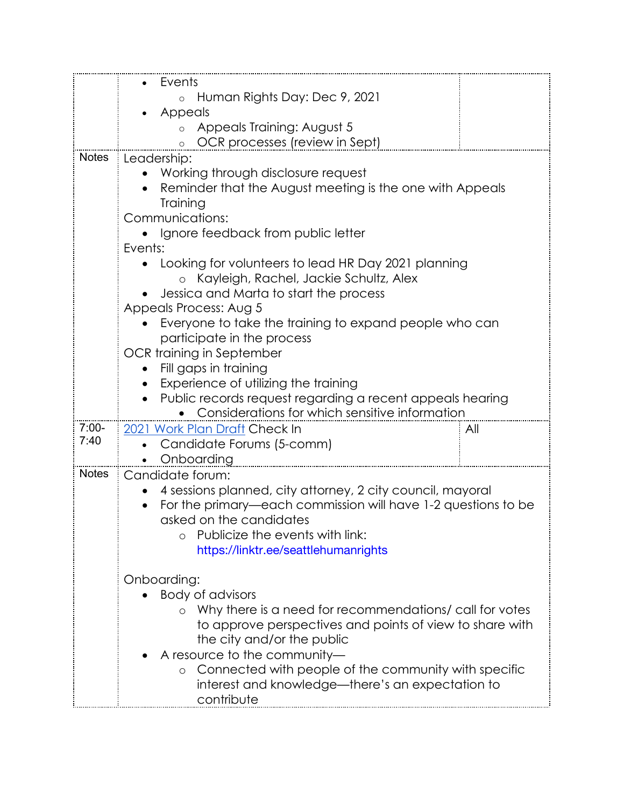|              | Events                                                                                                      |     |  |  |  |
|--------------|-------------------------------------------------------------------------------------------------------------|-----|--|--|--|
|              | Human Rights Day: Dec 9, 2021<br>$\circ$                                                                    |     |  |  |  |
|              | Appeals                                                                                                     |     |  |  |  |
|              | Appeals Training: August 5                                                                                  |     |  |  |  |
|              | OCR processes (review in Sept)                                                                              |     |  |  |  |
| <b>Notes</b> | Leadership:                                                                                                 |     |  |  |  |
|              | Working through disclosure request                                                                          |     |  |  |  |
|              | Reminder that the August meeting is the one with Appeals                                                    |     |  |  |  |
|              | Training                                                                                                    |     |  |  |  |
|              | Communications:                                                                                             |     |  |  |  |
|              | Ignore feedback from public letter                                                                          |     |  |  |  |
|              | Events:                                                                                                     |     |  |  |  |
|              | • Looking for volunteers to lead HR Day 2021 planning                                                       |     |  |  |  |
|              | Kayleigh, Rachel, Jackie Schultz, Alex<br>$\circ$                                                           |     |  |  |  |
|              | Jessica and Marta to start the process                                                                      |     |  |  |  |
|              | Appeals Process: Aug 5                                                                                      |     |  |  |  |
|              | Everyone to take the training to expand people who can                                                      |     |  |  |  |
|              | participate in the process                                                                                  |     |  |  |  |
|              | OCR training in September                                                                                   |     |  |  |  |
|              | Fill gaps in training                                                                                       |     |  |  |  |
|              | Experience of utilizing the training                                                                        |     |  |  |  |
|              | Public records request regarding a recent appeals hearing<br>Considerations for which sensitive information |     |  |  |  |
| $7:00-$      | 2021 Work Plan Draft Check In                                                                               | All |  |  |  |
| 7:40         | Candidate Forums (5-comm)                                                                                   |     |  |  |  |
|              | Onboarding                                                                                                  |     |  |  |  |
| <b>Notes</b> | Candidate forum:                                                                                            |     |  |  |  |
|              | 4 sessions planned, city attorney, 2 city council, mayoral                                                  |     |  |  |  |
|              | For the primary—each commission will have 1-2 questions to be                                               |     |  |  |  |
|              | asked on the candidates                                                                                     |     |  |  |  |
|              | Publicize the events with link:                                                                             |     |  |  |  |
|              | https://linktr.ee/seattlehumanrights                                                                        |     |  |  |  |
|              |                                                                                                             |     |  |  |  |
|              | Onboarding:                                                                                                 |     |  |  |  |
|              | <b>Body of advisors</b>                                                                                     |     |  |  |  |
|              | Why there is a need for recommendations/ call for votes                                                     |     |  |  |  |
|              | to approve perspectives and points of view to share with                                                    |     |  |  |  |
|              | the city and/or the public                                                                                  |     |  |  |  |
|              | A resource to the community-                                                                                |     |  |  |  |
|              | Connected with people of the community with specific                                                        |     |  |  |  |
|              | interest and knowledge—there's an expectation to                                                            |     |  |  |  |
|              | contribute                                                                                                  |     |  |  |  |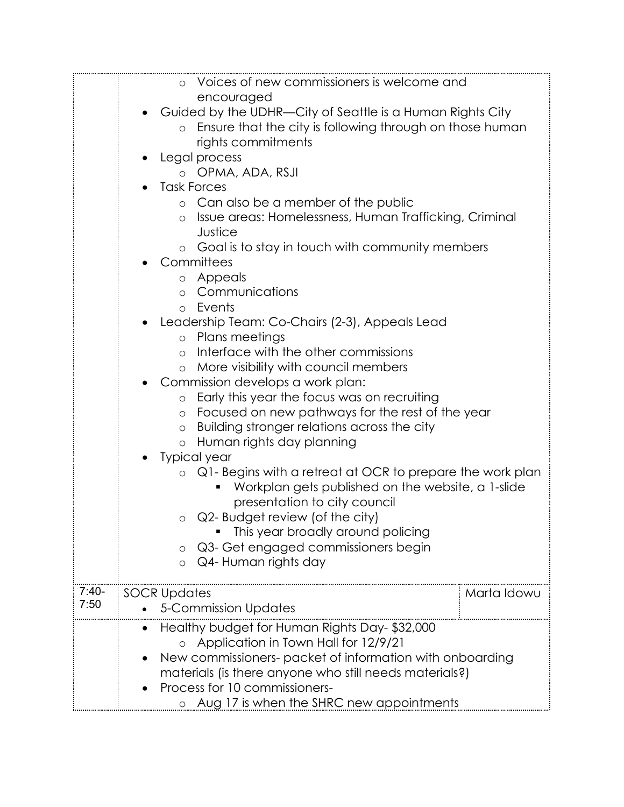|         | Voices of new commissioners is welcome and<br>$\circ$<br>encouraged                 |  |  |
|---------|-------------------------------------------------------------------------------------|--|--|
|         | Guided by the UDHR—City of Seattle is a Human Rights City                           |  |  |
|         | Ensure that the city is following through on those human                            |  |  |
|         | rights commitments                                                                  |  |  |
|         | Legal process                                                                       |  |  |
|         | o OPMA, ADA, RSJI                                                                   |  |  |
|         | <b>Task Forces</b>                                                                  |  |  |
|         | o Can also be a member of the public                                                |  |  |
|         | Issue areas: Homelessness, Human Trafficking, Criminal<br>$\circ$<br>Justice        |  |  |
|         | Goal is to stay in touch with community members<br>$\circ$                          |  |  |
|         | Committees                                                                          |  |  |
|         | Appeals<br>$\circ$                                                                  |  |  |
|         | Communications<br>$\Omega$                                                          |  |  |
|         | Events<br>O                                                                         |  |  |
|         | Leadership Team: Co-Chairs (2-3), Appeals Lead                                      |  |  |
|         | Plans meetings<br>$\circ$                                                           |  |  |
|         | Interface with the other commissions<br>$\circ$                                     |  |  |
|         | More visibility with council members<br>$\circ$<br>Commission develops a work plan: |  |  |
|         | Early this year the focus was on recruiting<br>$\circ$                              |  |  |
|         | Focused on new pathways for the rest of the year<br>$\circ$                         |  |  |
|         | Building stronger relations across the city<br>$\circ$                              |  |  |
|         | Human rights day planning<br>$\circ$                                                |  |  |
|         | <b>Typical year</b>                                                                 |  |  |
|         | Q1- Begins with a retreat at OCR to prepare the work plan<br>$\circ$                |  |  |
|         | Workplan gets published on the website, a 1-slide                                   |  |  |
|         | presentation to city council                                                        |  |  |
|         | Q2- Budget review (of the city)<br>O                                                |  |  |
|         | This year broadly around policing                                                   |  |  |
|         | Q3- Get engaged commissioners begin                                                 |  |  |
|         | Q4- Human rights day<br>$\circ$                                                     |  |  |
| $7:40-$ | <b>SOCR Updates</b><br>Marta Idowu                                                  |  |  |
| 7:50    | <b>5-Commission Updates</b>                                                         |  |  |
|         | Healthy budget for Human Rights Day-\$32,000                                        |  |  |
|         | Application in Town Hall for 12/9/21                                                |  |  |
|         | New commissioners- packet of information with onboarding                            |  |  |
|         | materials (is there anyone who still needs materials?)                              |  |  |
|         | Process for 10 commissioners-                                                       |  |  |
|         | o Aug 17 is when the SHRC new appointments                                          |  |  |